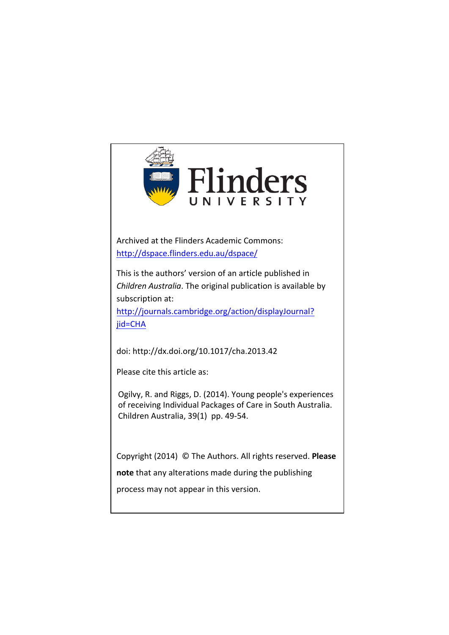

Archived at the Flinders Academic Commons: <http://dspace.flinders.edu.au/dspace/>

This is the authors' version of an article published in *Children Australia*. The original publication is available by subscription at:

http://journals.cambridge.org/action/displayJournal? jid=CHA

doi: http://dx.doi.org/10.1017/cha.2013.42

Please cite this article as:

Ogilvy, R. and Riggs, D. (2014). Young people's experiences of receiving Individual Packages of Care in South Australia. Children Australia, 39(1) pp. 49-54.

Copyright (2014) © The Authors. All rights reserved. **Please** 

**note** that any alterations made during the publishing

process may not appear in this version.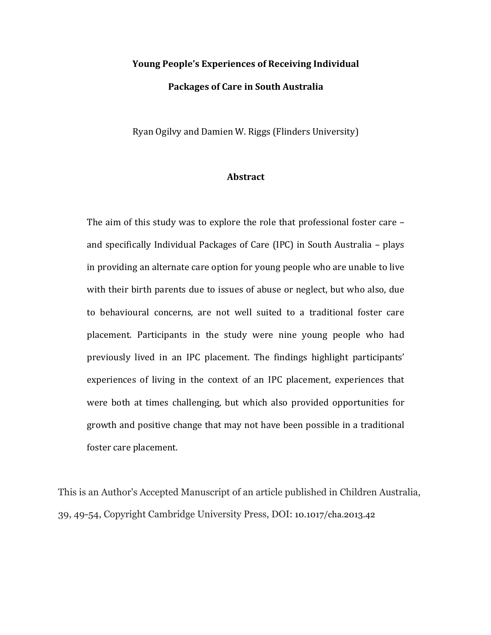# **Young People's Experiences of Receiving Individual Packages of Care in South Australia**

Ryan Ogilvy and Damien W. Riggs (Flinders University)

# **Abstract**

The aim of this study was to explore the role that professional foster care  $$ and specifically Individual Packages of Care (IPC) in South Australia - plays in providing an alternate care option for young people who are unable to live with their birth parents due to issues of abuse or neglect, but who also, due to behavioural concerns, are not well suited to a traditional foster care placement. Participants in the study were nine young people who had previously lived in an IPC placement. The findings highlight participants' experiences of living in the context of an IPC placement, experiences that were both at times challenging, but which also provided opportunities for growth and positive change that may not have been possible in a traditional foster care placement.

This is an Author's Accepted Manuscript of an article published in Children Australia, 39, 49-54, Copyright Cambridge University Press, DOI: 10.1017/cha.2013.42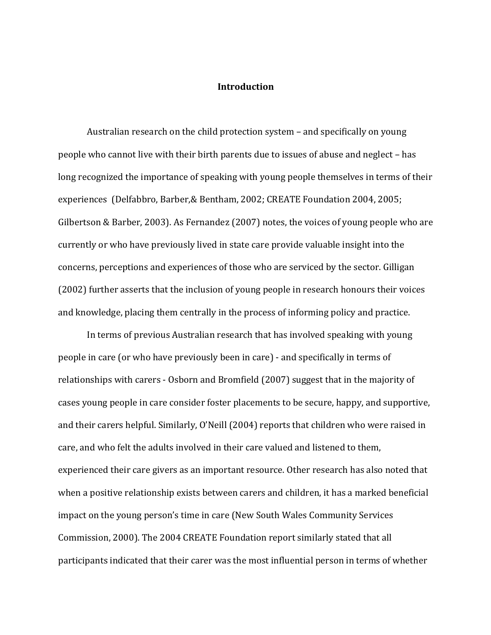### **Introduction**

Australian research on the child protection system – and specifically on young people who cannot live with their birth parents due to issues of abuse and neglect – has long recognized the importance of speaking with young people themselves in terms of their experiences (Delfabbro, Barber, & Bentham, 2002; CREATE Foundation 2004, 2005; Gilbertson & Barber, 2003). As Fernandez  $(2007)$  notes, the voices of young people who are currently or who have previously lived in state care provide valuable insight into the concerns, perceptions and experiences of those who are serviced by the sector. Gilligan (2002) further asserts that the inclusion of young people in research honours their voices and knowledge, placing them centrally in the process of informing policy and practice.

In terms of previous Australian research that has involved speaking with young people in care (or who have previously been in care) - and specifically in terms of relationships with carers - Osborn and Bromfield (2007) suggest that in the majority of cases young people in care consider foster placements to be secure, happy, and supportive, and their carers helpful. Similarly, O'Neill (2004) reports that children who were raised in care, and who felt the adults involved in their care valued and listened to them, experienced their care givers as an important resource. Other research has also noted that when a positive relationship exists between carers and children, it has a marked beneficial impact on the young person's time in care (New South Wales Community Services Commission, 2000). The 2004 CREATE Foundation report similarly stated that all participants indicated that their carer was the most influential person in terms of whether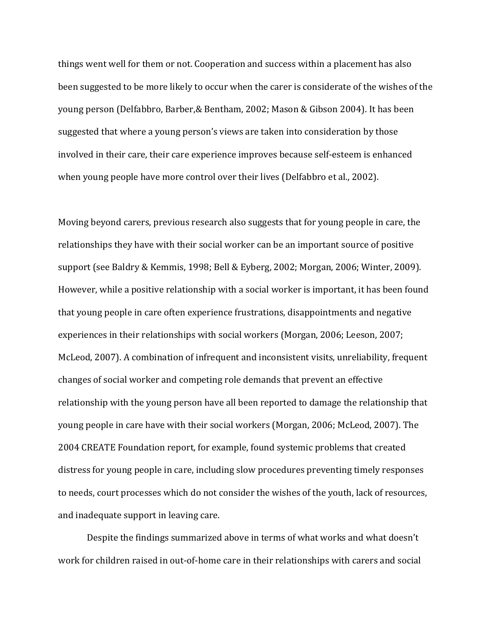things went well for them or not. Cooperation and success within a placement has also been suggested to be more likely to occur when the carer is considerate of the wishes of the young person (Delfabbro, Barber, & Bentham, 2002; Mason & Gibson 2004). It has been suggested that where a young person's views are taken into consideration by those involved in their care, their care experience improves because self-esteem is enhanced when young people have more control over their lives (Delfabbro et al., 2002).

Moving beyond carers, previous research also suggests that for young people in care, the relationships they have with their social worker can be an important source of positive support (see Baldry & Kemmis, 1998; Bell & Eyberg, 2002; Morgan, 2006; Winter, 2009). However, while a positive relationship with a social worker is important, it has been found that young people in care often experience frustrations, disappointments and negative experiences in their relationships with social workers (Morgan, 2006; Leeson, 2007; McLeod, 2007). A combination of infrequent and inconsistent visits, unreliability, frequent changes of social worker and competing role demands that prevent an effective relationship with the young person have all been reported to damage the relationship that young people in care have with their social workers (Morgan, 2006; McLeod, 2007). The 2004 CREATE Foundation report, for example, found systemic problems that created distress for young people in care, including slow procedures preventing timely responses to needs, court processes which do not consider the wishes of the youth, lack of resources, and inadequate support in leaving care.

Despite the findings summarized above in terms of what works and what doesn't work for children raised in out-of-home care in their relationships with carers and social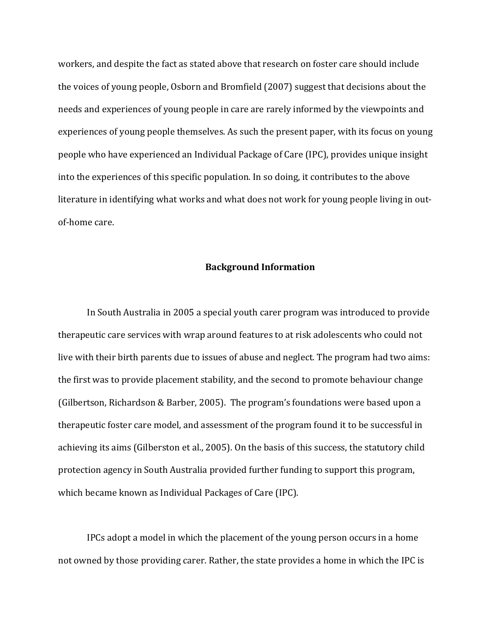workers, and despite the fact as stated above that research on foster care should include the voices of young people, Osborn and Bromfield (2007) suggest that decisions about the needs and experiences of young people in care are rarely informed by the viewpoints and experiences of young people themselves. As such the present paper, with its focus on young people who have experienced an Individual Package of Care (IPC), provides unique insight into the experiences of this specific population. In so doing, it contributes to the above literature in identifying what works and what does not work for young people living in outof-home care.

### **Background Information**

In South Australia in 2005 a special youth carer program was introduced to provide therapeutic care services with wrap around features to at risk adolescents who could not live with their birth parents due to issues of abuse and neglect. The program had two aims: the first was to provide placement stability, and the second to promote behaviour change (Gilbertson, Richardson & Barber, 2005). The program's foundations were based upon a therapeutic foster care model, and assessment of the program found it to be successful in achieving its aims (Gilberston et al., 2005). On the basis of this success, the statutory child protection agency in South Australia provided further funding to support this program, which became known as Individual Packages of Care (IPC).

IPCs adopt a model in which the placement of the young person occurs in a home not owned by those providing carer. Rather, the state provides a home in which the IPC is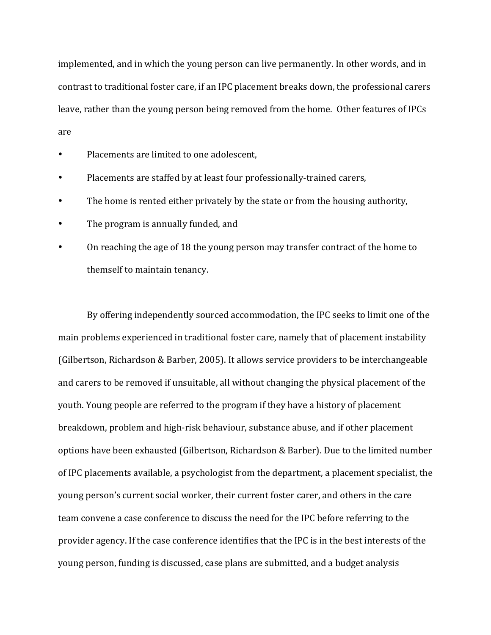implemented, and in which the young person can live permanently. In other words, and in contrast to traditional foster care, if an IPC placement breaks down, the professional carers leave, rather than the young person being removed from the home. Other features of IPCs are

- Placements are limited to one adolescent,
- Placements are staffed by at least four professionally-trained carers,
- The home is rented either privately by the state or from the housing authority,
- The program is annually funded, and
- On reaching the age of 18 the young person may transfer contract of the home to themself to maintain tenancy.

By offering independently sourced accommodation, the IPC seeks to limit one of the main problems experienced in traditional foster care, namely that of placement instability (Gilbertson, Richardson & Barber, 2005). It allows service providers to be interchangeable and carers to be removed if unsuitable, all without changing the physical placement of the youth. Young people are referred to the program if they have a history of placement breakdown, problem and high-risk behaviour, substance abuse, and if other placement options have been exhausted (Gilbertson, Richardson & Barber). Due to the limited number of IPC placements available, a psychologist from the department, a placement specialist, the young person's current social worker, their current foster carer, and others in the care team convene a case conference to discuss the need for the IPC before referring to the provider agency. If the case conference identifies that the IPC is in the best interests of the young person, funding is discussed, case plans are submitted, and a budget analysis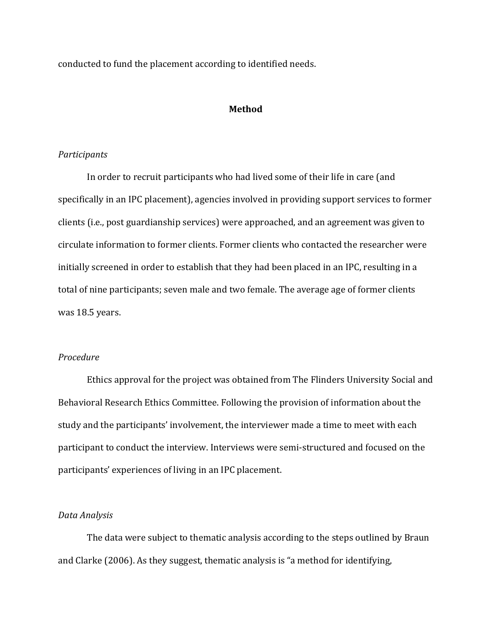conducted to fund the placement according to identified needs.

#### **Method**

## *Participants*

In order to recruit participants who had lived some of their life in care (and specifically in an IPC placement), agencies involved in providing support services to former clients (i.e., post guardianship services) were approached, and an agreement was given to circulate information to former clients. Former clients who contacted the researcher were initially screened in order to establish that they had been placed in an IPC, resulting in a total of nine participants; seven male and two female. The average age of former clients was 18.5 years.

# *Procedure*

Ethics approval for the project was obtained from The Flinders University Social and Behavioral Research Ethics Committee. Following the provision of information about the study and the participants' involvement, the interviewer made a time to meet with each participant to conduct the interview. Interviews were semi-structured and focused on the participants' experiences of living in an IPC placement.

### *Data Analysis*

The data were subject to thematic analysis according to the steps outlined by Braun and Clarke  $(2006)$ . As they suggest, thematic analysis is "a method for identifying,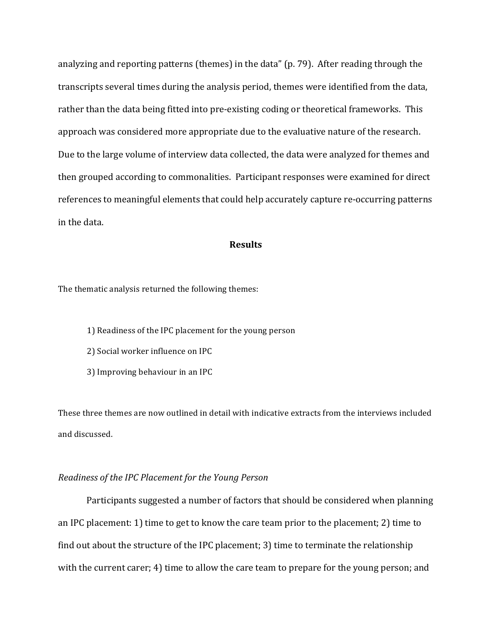analyzing and reporting patterns (themes) in the data" (p. 79). After reading through the transcripts several times during the analysis period, themes were identified from the data, rather than the data being fitted into pre-existing coding or theoretical frameworks. This approach was considered more appropriate due to the evaluative nature of the research. Due to the large volume of interview data collected, the data were analyzed for themes and then grouped according to commonalities. Participant responses were examined for direct references to meaningful elements that could help accurately capture re-occurring patterns in the data.

## **Results**

The thematic analysis returned the following themes:

- 1) Readiness of the IPC placement for the young person
- 2) Social worker influence on IPC
- 3) Improving behaviour in an IPC

These three themes are now outlined in detail with indicative extracts from the interviews included and discussed.

## *Readiness of the IPC Placement for the Young Person*

Participants suggested a number of factors that should be considered when planning an IPC placement: 1) time to get to know the care team prior to the placement; 2) time to find out about the structure of the IPC placement; 3) time to terminate the relationship with the current carer; 4) time to allow the care team to prepare for the young person; and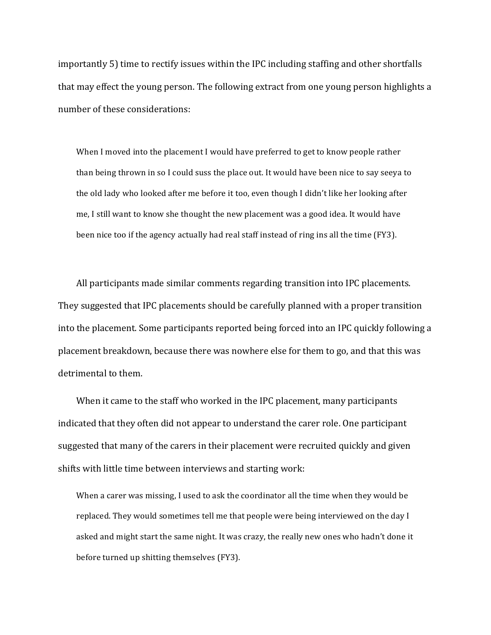importantly 5) time to rectify issues within the IPC including staffing and other shortfalls that may effect the young person. The following extract from one young person highlights a number of these considerations:

When I moved into the placement I would have preferred to get to know people rather than being thrown in so I could suss the place out. It would have been nice to say seeya to the old lady who looked after me before it too, even though I didn't like her looking after me, I still want to know she thought the new placement was a good idea. It would have been nice too if the agency actually had real staff instead of ring ins all the time (FY3).

All participants made similar comments regarding transition into IPC placements. They suggested that IPC placements should be carefully planned with a proper transition into the placement. Some participants reported being forced into an IPC quickly following a placement breakdown, because there was nowhere else for them to go, and that this was detrimental to them.

When it came to the staff who worked in the IPC placement, many participants indicated that they often did not appear to understand the carer role. One participant suggested that many of the carers in their placement were recruited quickly and given shifts with little time between interviews and starting work:

When a carer was missing, I used to ask the coordinator all the time when they would be replaced. They would sometimes tell me that people were being interviewed on the day I asked and might start the same night. It was crazy, the really new ones who hadn't done it before turned up shitting themselves (FY3).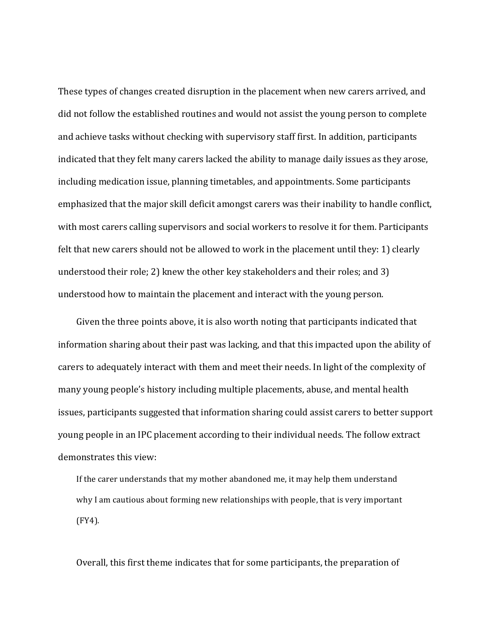These types of changes created disruption in the placement when new carers arrived, and did not follow the established routines and would not assist the young person to complete and achieve tasks without checking with supervisory staff first. In addition, participants indicated that they felt many carers lacked the ability to manage daily issues as they arose, including medication issue, planning timetables, and appointments. Some participants emphasized that the major skill deficit amongst carers was their inability to handle conflict, with most carers calling supervisors and social workers to resolve it for them. Participants felt that new carers should not be allowed to work in the placement until they: 1) clearly understood their role; 2) knew the other key stakeholders and their roles; and 3) understood how to maintain the placement and interact with the young person.

Given the three points above, it is also worth noting that participants indicated that information sharing about their past was lacking, and that this impacted upon the ability of carers to adequately interact with them and meet their needs. In light of the complexity of many young people's history including multiple placements, abuse, and mental health issues, participants suggested that information sharing could assist carers to better support young people in an IPC placement according to their individual needs. The follow extract demonstrates this view:

If the carer understands that my mother abandoned me, it may help them understand why I am cautious about forming new relationships with people, that is very important (FY4).

Overall, this first theme indicates that for some participants, the preparation of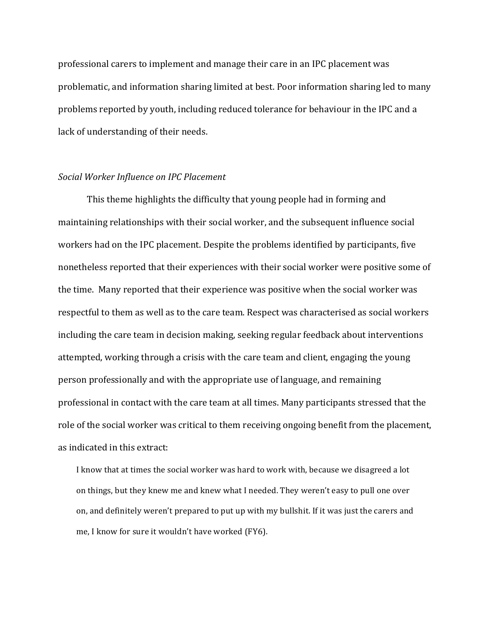professional carers to implement and manage their care in an IPC placement was problematic, and information sharing limited at best. Poor information sharing led to many problems reported by youth, including reduced tolerance for behaviour in the IPC and a lack of understanding of their needs.

## *Social Worker Influence on IPC Placement*

This theme highlights the difficulty that young people had in forming and maintaining relationships with their social worker, and the subsequent influence social workers had on the IPC placement. Despite the problems identified by participants, five nonetheless reported that their experiences with their social worker were positive some of the time. Many reported that their experience was positive when the social worker was respectful to them as well as to the care team. Respect was characterised as social workers including the care team in decision making, seeking regular feedback about interventions attempted, working through a crisis with the care team and client, engaging the young person professionally and with the appropriate use of language, and remaining professional in contact with the care team at all times. Many participants stressed that the role of the social worker was critical to them receiving ongoing benefit from the placement, as indicated in this extract:

I know that at times the social worker was hard to work with, because we disagreed a lot on things, but they knew me and knew what I needed. They weren't easy to pull one over on, and definitely weren't prepared to put up with my bullshit. If it was just the carers and me, I know for sure it wouldn't have worked (FY6).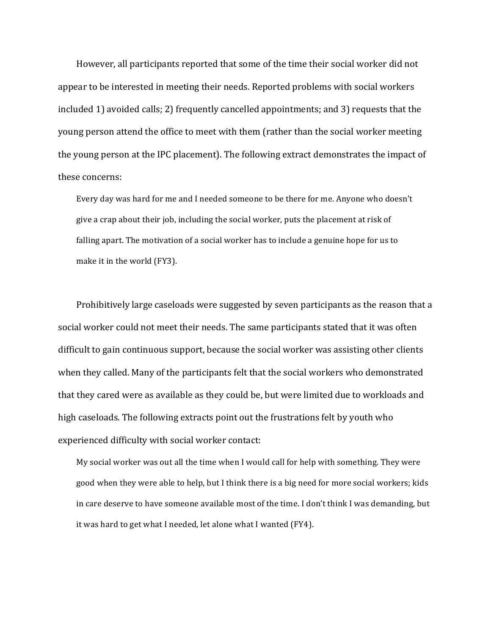However, all participants reported that some of the time their social worker did not appear to be interested in meeting their needs. Reported problems with social workers included 1) avoided calls; 2) frequently cancelled appointments; and 3) requests that the young person attend the office to meet with them (rather than the social worker meeting the young person at the IPC placement). The following extract demonstrates the impact of these concerns:

Every day was hard for me and I needed someone to be there for me. Anyone who doesn't give a crap about their job, including the social worker, puts the placement at risk of falling apart. The motivation of a social worker has to include a genuine hope for us to make it in the world (FY3).

Prohibitively large caseloads were suggested by seven participants as the reason that a social worker could not meet their needs. The same participants stated that it was often difficult to gain continuous support, because the social worker was assisting other clients when they called. Many of the participants felt that the social workers who demonstrated that they cared were as available as they could be, but were limited due to workloads and high caseloads. The following extracts point out the frustrations felt by youth who experienced difficulty with social worker contact:

My social worker was out all the time when I would call for help with something. They were good when they were able to help, but I think there is a big need for more social workers; kids in care deserve to have someone available most of the time. I don't think I was demanding, but it was hard to get what I needed, let alone what I wanted (FY4).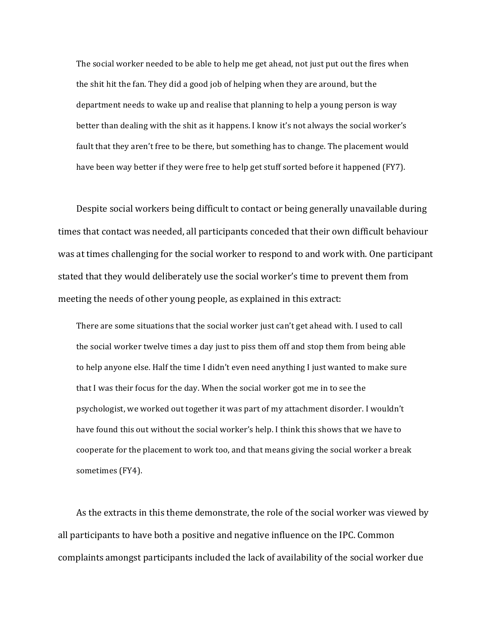The social worker needed to be able to help me get ahead, not just put out the fires when the shit hit the fan. They did a good job of helping when they are around, but the department needs to wake up and realise that planning to help a young person is way better than dealing with the shit as it happens. I know it's not always the social worker's fault that they aren't free to be there, but something has to change. The placement would have been way better if they were free to help get stuff sorted before it happened (FY7).

Despite social workers being difficult to contact or being generally unavailable during times that contact was needed, all participants conceded that their own difficult behaviour was at times challenging for the social worker to respond to and work with. One participant stated that they would deliberately use the social worker's time to prevent them from meeting the needs of other young people, as explained in this extract:

There are some situations that the social worker just can't get ahead with. I used to call the social worker twelve times a day just to piss them off and stop them from being able to help anyone else. Half the time I didn't even need anything I just wanted to make sure that I was their focus for the day. When the social worker got me in to see the psychologist, we worked out together it was part of my attachment disorder. I wouldn't have found this out without the social worker's help. I think this shows that we have to cooperate for the placement to work too, and that means giving the social worker a break sometimes (FY4).

As the extracts in this theme demonstrate, the role of the social worker was viewed by all participants to have both a positive and negative influence on the IPC. Common complaints amongst participants included the lack of availability of the social worker due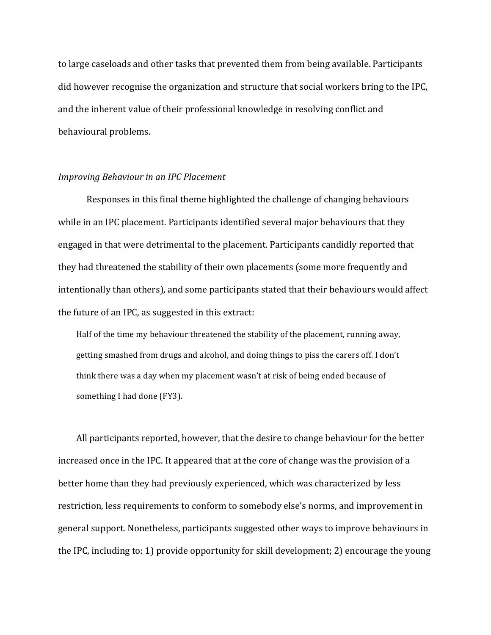to large caseloads and other tasks that prevented them from being available. Participants did however recognise the organization and structure that social workers bring to the IPC, and the inherent value of their professional knowledge in resolving conflict and behavioural problems.

#### *Improving Behaviour in an IPC Placement*

Responses in this final theme highlighted the challenge of changing behaviours while in an IPC placement. Participants identified several major behaviours that they engaged in that were detrimental to the placement. Participants candidly reported that they had threatened the stability of their own placements (some more frequently and intentionally than others), and some participants stated that their behaviours would affect the future of an IPC, as suggested in this extract:

Half of the time my behaviour threatened the stability of the placement, running away, getting smashed from drugs and alcohol, and doing things to piss the carers off. I don't think there was a day when my placement wasn't at risk of being ended because of something I had done (FY3).

All participants reported, however, that the desire to change behaviour for the better increased once in the IPC. It appeared that at the core of change was the provision of a better home than they had previously experienced, which was characterized by less restriction, less requirements to conform to somebody else's norms, and improvement in general support. Nonetheless, participants suggested other ways to improve behaviours in the IPC, including to: 1) provide opportunity for skill development; 2) encourage the young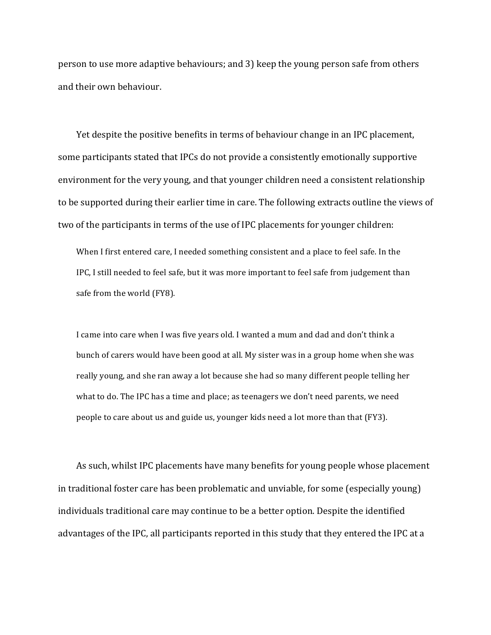person to use more adaptive behaviours; and 3) keep the young person safe from others and their own behaviour.

Yet despite the positive benefits in terms of behaviour change in an IPC placement, some participants stated that IPCs do not provide a consistently emotionally supportive environment for the very young, and that younger children need a consistent relationship to be supported during their earlier time in care. The following extracts outline the views of two of the participants in terms of the use of IPC placements for younger children:

When I first entered care, I needed something consistent and a place to feel safe. In the IPC, I still needed to feel safe, but it was more important to feel safe from judgement than safe from the world (FY8).

I came into care when I was five years old. I wanted a mum and dad and don't think a bunch of carers would have been good at all. My sister was in a group home when she was really young, and she ran away a lot because she had so many different people telling her what to do. The IPC has a time and place; as teenagers we don't need parents, we need people to care about us and guide us, younger kids need a lot more than that (FY3).

As such, whilst IPC placements have many benefits for young people whose placement in traditional foster care has been problematic and unviable, for some (especially young) individuals traditional care may continue to be a better option. Despite the identified advantages of the IPC, all participants reported in this study that they entered the IPC at a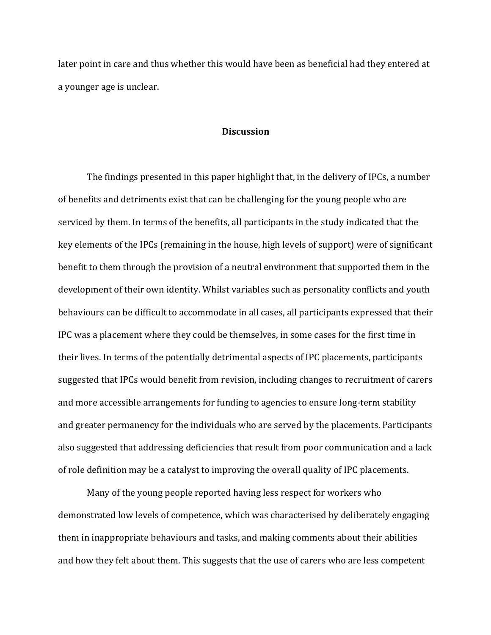later point in care and thus whether this would have been as beneficial had they entered at a younger age is unclear.

#### **Discussion**

The findings presented in this paper highlight that, in the delivery of IPCs, a number of benefits and detriments exist that can be challenging for the young people who are serviced by them. In terms of the benefits, all participants in the study indicated that the key elements of the IPCs (remaining in the house, high levels of support) were of significant benefit to them through the provision of a neutral environment that supported them in the development of their own identity. Whilst variables such as personality conflicts and youth behaviours can be difficult to accommodate in all cases, all participants expressed that their IPC was a placement where they could be themselves, in some cases for the first time in their lives. In terms of the potentially detrimental aspects of IPC placements, participants suggested that IPCs would benefit from revision, including changes to recruitment of carers and more accessible arrangements for funding to agencies to ensure long-term stability and greater permanency for the individuals who are served by the placements. Participants also suggested that addressing deficiencies that result from poor communication and a lack of role definition may be a catalyst to improving the overall quality of IPC placements.

Many of the young people reported having less respect for workers who demonstrated low levels of competence, which was characterised by deliberately engaging them in inappropriate behaviours and tasks, and making comments about their abilities and how they felt about them. This suggests that the use of carers who are less competent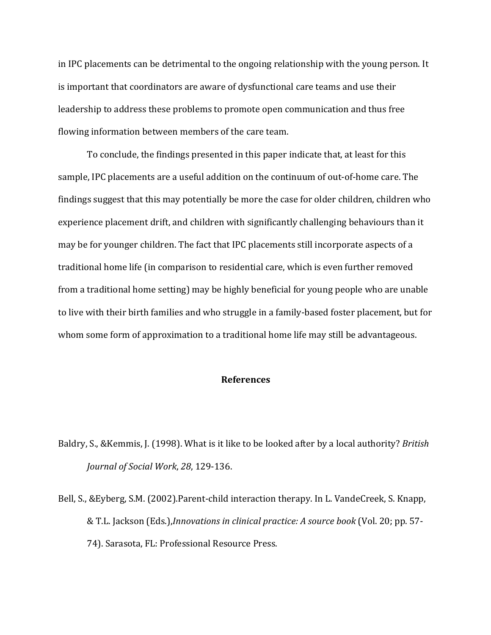in IPC placements can be detrimental to the ongoing relationship with the young person. It is important that coordinators are aware of dysfunctional care teams and use their leadership to address these problems to promote open communication and thus free flowing information between members of the care team.

To conclude, the findings presented in this paper indicate that, at least for this sample, IPC placements are a useful addition on the continuum of out-of-home care. The findings suggest that this may potentially be more the case for older children, children who experience placement drift, and children with significantly challenging behaviours than it may be for younger children. The fact that IPC placements still incorporate aspects of a traditional home life (in comparison to residential care, which is even further removed from a traditional home setting) may be highly beneficial for young people who are unable to live with their birth families and who struggle in a family-based foster placement, but for whom some form of approximation to a traditional home life may still be advantageous.

## **References**

- Baldry, S., & Kemmis, J. (1998). What is it like to be looked after by a local authority? *British Journal of Social Work, 28, 129-136.*
- Bell, S., &Eyberg, S.M. (2002).Parent-child interaction therapy. In L. VandeCreek, S. Knapp, & T.L. Jackson (Eds.),*Innovations in clinical practice: A source book* (Vol. 20; pp. 57-74). Sarasota, FL: Professional Resource Press.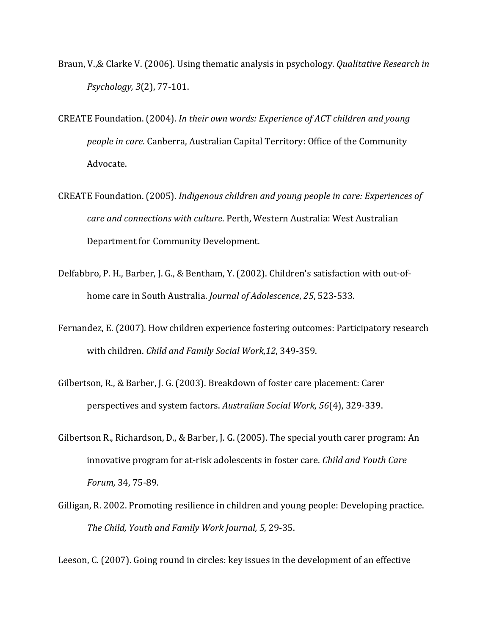- Braun, V.,& Clarke V. (2006). Using thematic analysis in psychology. *Qualitative Research in Psychology, 3*(2), 77-101.
- CREATE Foundation. (2004). In their own words: Experience of ACT children and young *people in care*. Canberra, Australian Capital Territory: Office of the Community Advocate.
- CREATE Foundation. (2005). *Indigenous children and young people in care: Experiences of care and connections with culture*. Perth, Western Australia: West Australian Department for Community Development.
- Delfabbro, P. H., Barber, J. G., & Bentham, Y. (2002). Children's satisfaction with out-ofhome care in South Australia. *Journal of Adolescence*, 25, 523-533.
- Fernandez, E. (2007). How children experience fostering outcomes: Participatory research with children. *Child and Family Social Work,12*, 349-359.
- Gilbertson, R., & Barber, J. G. (2003). Breakdown of foster care placement: Carer perspectives and system factors. Australian Social Work, 56(4), 329-339.
- Gilbertson R., Richardson, D., & Barber, J. G. (2005). The special youth carer program: An innovative program for at-risk adolescents in foster care. *Child and Youth Care Forum,* 34, 75-89.
- Gilligan, R. 2002. Promoting resilience in children and young people: Developing practice. The Child, Youth and Family Work Journal, 5, 29-35.

Leeson, C. (2007). Going round in circles: key issues in the development of an effective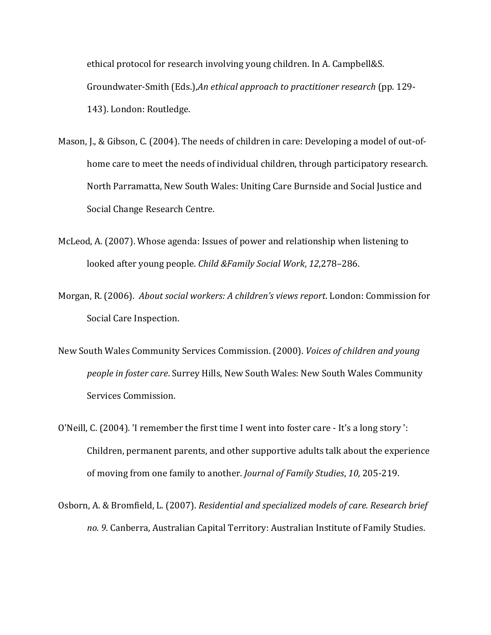ethical protocol for research involving young children. In A. Campbell&S. Groundwater-Smith (Eds.),*An ethical approach to practitioner research* (pp. 129-143). London: Routledge.

- Mason, J., & Gibson, C. (2004). The needs of children in care: Developing a model of out-ofhome care to meet the needs of individual children, through participatory research. North Parramatta, New South Wales: Uniting Care Burnside and Social Justice and Social Change Research Centre.
- McLeod, A. (2007). Whose agenda: Issues of power and relationship when listening to looked after young people. *Child &Family Social Work*, 12,278-286.
- Morgan, R. (2006). *About social workers: A children's views report*. London: Commission for Social Care Inspection.
- New South Wales Community Services Commission. (2000). *Voices of children and young people in foster care*. Surrey Hills, New South Wales: New South Wales Community Services Commission.
- O'Neill, C. (2004). 'I remember the first time I went into foster care It's a long story ': Children, permanent parents, and other supportive adults talk about the experience of moving from one family to another. *Journal of Family Studies*, 10, 205-219.
- Osborn, A. & Bromfield, L. (2007). *Residential and specialized models of care. Research brief* no. 9. Canberra, Australian Capital Territory: Australian Institute of Family Studies.